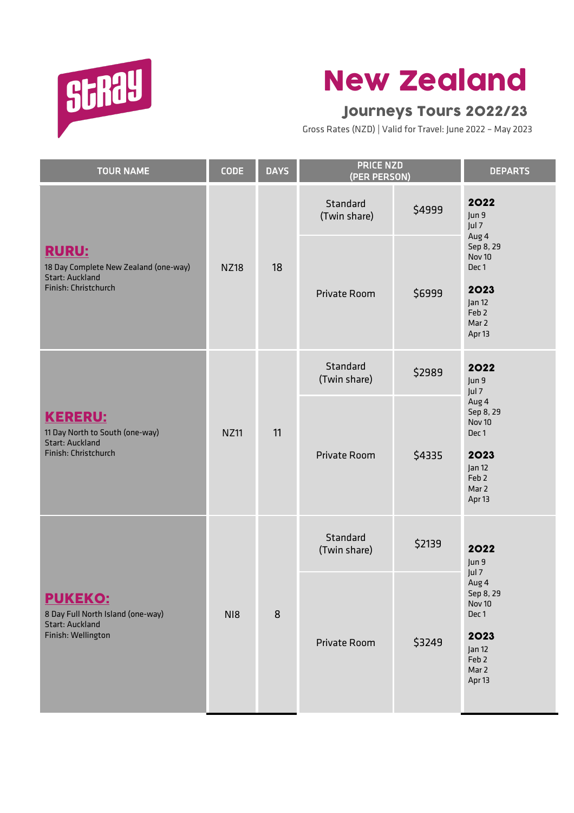

## New Zealand

## Journeys Tours 2022/23

Gross Rates (NZD) | Valid for Travel: June 2022 – May 2023

| <b>TOUR NAME</b>                                                                                        | <b>CODE</b> | <b>DAYS</b> | <b>PRICE NZD</b><br>(PER PERSON) |        | <b>DEPARTS</b>                                                                                                           |
|---------------------------------------------------------------------------------------------------------|-------------|-------------|----------------------------------|--------|--------------------------------------------------------------------------------------------------------------------------|
|                                                                                                         |             |             | Standard<br>(Twin share)         | \$4999 | 2022<br>Jun 9<br>Jul 7<br>Aug 4                                                                                          |
| <b>RURU:</b><br>18 Day Complete New Zealand (one-way)<br><b>Start: Auckland</b><br>Finish: Christchurch | <b>NZ18</b> | 18          | Private Room                     | \$6999 | Sep 8, 29<br>Nov 10<br>Dec 1<br>2023<br>Jan 12<br>Feb <sub>2</sub><br>Mar 2<br>Apr 13                                    |
| <b>KERERU:</b><br>11 Day North to South (one-way)<br><b>Start: Auckland</b><br>Finish: Christchurch     | <b>NZ11</b> | 11          | Standard<br>(Twin share)         | \$2989 | 2022<br>Jun 9<br>Jul 7<br>Aug 4<br>Sep 8, 29<br>Nov 10<br>Dec 1<br>2023<br>Jan 12<br>Feb <sub>2</sub><br>Mar 2<br>Apr 13 |
|                                                                                                         |             |             | Private Room                     | \$4335 |                                                                                                                          |
| <b>PUKEKO:</b><br>8 Day Full North Island (one-way)<br><b>Start: Auckland</b><br>Finish: Wellington     | NI8         | 8           | Standard<br>(Twin share)         | \$2139 | 2022<br>Jun 9<br>Jul 7<br>Aug 4<br>Sep 8, 29<br>Nov 10<br>Dec 1<br>2023<br>Jan 12<br>Feb <sub>2</sub><br>Mar 2<br>Apr 13 |
|                                                                                                         |             |             | Private Room                     | \$3249 |                                                                                                                          |